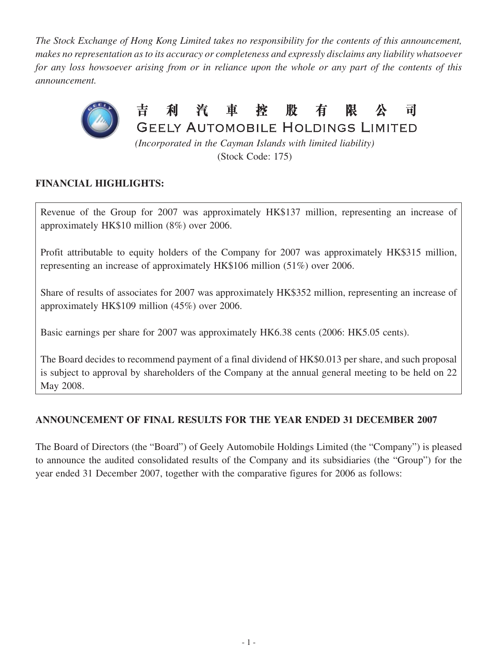*The Stock Exchange of Hong Kong Limited takes no responsibility for the contents of this announcement, makes no representation as to its accuracy or completeness and expressly disclaims any liability whatsoever for any loss howsoever arising from or in reliance upon the whole or any part of the contents of this announcement.*



(Stock Code: 175)

## **Financial highlights:**

Revenue of the Group for 2007 was approximately HK\$137 million, representing an increase of approximately HK\$10 million (8%) over 2006.

Profit attributable to equity holders of the Company for 2007 was approximately HK\$315 million, representing an increase of approximately HK\$106 million (51%) over 2006.

Share of results of associates for 2007 was approximately HK\$352 million, representing an increase of approximately HK\$109 million (45%) over 2006.

Basic earnings per share for 2007 was approximately HK6.38 cents (2006: HK5.05 cents).

The Board decides to recommend payment of a final dividend of HK\$0.013 per share, and such proposal is subject to approval by shareholders of the Company at the annual general meeting to be held on 22 May 2008.

# **ANNOUNCEMENT OF FINAL RESULTS FOR THE YEAR ENDED 31 DECEMBER 2007**

The Board of Directors (the "Board") of Geely Automobile Holdings Limited (the "Company") is pleased to announce the audited consolidated results of the Company and its subsidiaries (the "Group") for the year ended 31 December 2007, together with the comparative figures for 2006 as follows: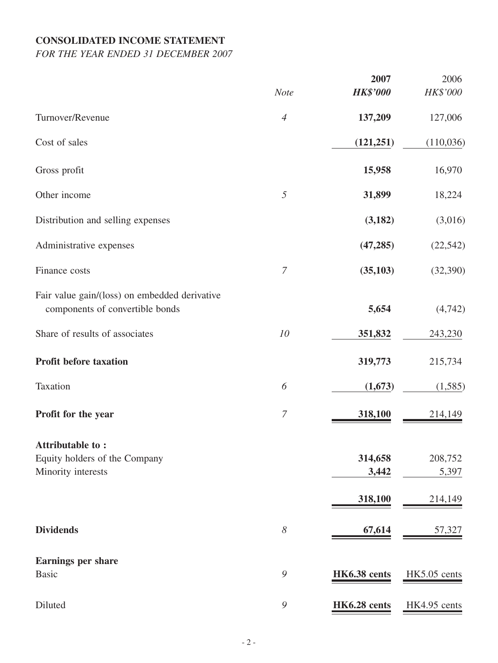# **CONSOLIDATED INCOME STATEMENT**

# *FOR THE YEAR ENDED 31 DECEMBER 2007*

|                                                                                  | <b>Note</b>      | 2007<br><b>HK\$'000</b>     | 2006<br>HK\$'000            |
|----------------------------------------------------------------------------------|------------------|-----------------------------|-----------------------------|
| Turnover/Revenue                                                                 | $\overline{4}$   | 137,209                     | 127,006                     |
| Cost of sales                                                                    |                  | (121, 251)                  | (110,036)                   |
| Gross profit                                                                     |                  | 15,958                      | 16,970                      |
| Other income                                                                     | 5                | 31,899                      | 18,224                      |
| Distribution and selling expenses                                                |                  | (3,182)                     | (3,016)                     |
| Administrative expenses                                                          |                  | (47, 285)                   | (22, 542)                   |
| Finance costs                                                                    | $\boldsymbol{7}$ | (35, 103)                   | (32, 390)                   |
| Fair value gain/(loss) on embedded derivative<br>components of convertible bonds |                  | 5,654                       | (4,742)                     |
| Share of results of associates                                                   | 10               | 351,832                     | 243,230                     |
| <b>Profit before taxation</b>                                                    |                  | 319,773                     | 215,734                     |
| Taxation                                                                         | 6                | (1,673)                     | (1,585)                     |
| Profit for the year                                                              | $\boldsymbol{7}$ | 318,100                     | 214,149                     |
| <b>Attributable to:</b><br>Equity holders of the Company<br>Minority interests   |                  | 314,658<br>3,442<br>318,100 | 208,752<br>5,397<br>214,149 |
| <b>Dividends</b>                                                                 | $\delta$         | 67,614                      | 57,327                      |
| <b>Earnings per share</b><br><b>Basic</b>                                        | 9                | <b>HK6.38</b> cents         | HK5.05 cents                |
| Diluted                                                                          | 9                | HK6.28 cents                | HK4.95 cents                |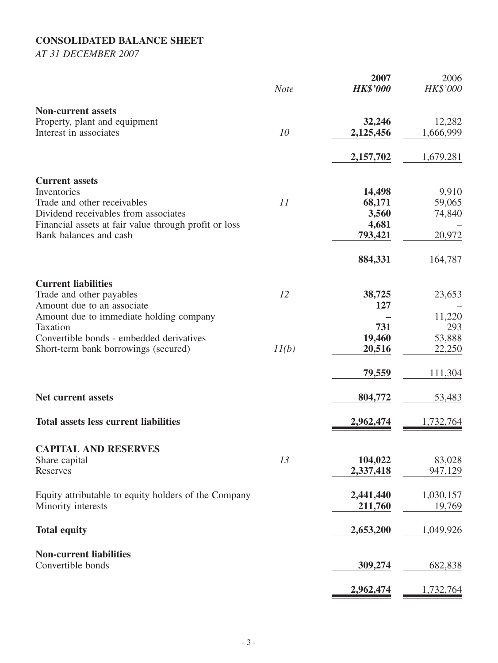# **CONSOLIDATED BALANCE SHEET**

*AT 31 DECEMBER 2007*

|                                                                                  | <b>Note</b> | 2007<br><b>HK\$'000</b> | 2006<br>HK\$'000  |
|----------------------------------------------------------------------------------|-------------|-------------------------|-------------------|
| <b>Non-current assets</b>                                                        |             |                         |                   |
| Property, plant and equipment                                                    |             | 32,246                  | 12,282            |
| Interest in associates                                                           | 10          | 2,125,456               | 1,666,999         |
|                                                                                  |             | 2,157,702               | 1,679,281         |
| <b>Current assets</b>                                                            |             |                         |                   |
| Inventories                                                                      |             | 14,498                  | 9,910             |
| Trade and other receivables                                                      | 11          | 68,171                  | 59,065            |
| Dividend receivables from associates                                             |             | 3,560                   | 74,840            |
| Financial assets at fair value through profit or loss                            |             | 4,681                   |                   |
| Bank balances and cash                                                           |             | 793,421                 | 20,972            |
|                                                                                  |             | 884,331                 | 164,787           |
| <b>Current liabilities</b>                                                       |             |                         |                   |
| Trade and other payables                                                         | 12          | 38,725                  | 23,653            |
| Amount due to an associate                                                       |             | 127                     |                   |
| Amount due to immediate holding company                                          |             |                         | 11,220            |
| Taxation                                                                         |             | 731                     | 293<br>53,888     |
| Convertible bonds - embedded derivatives<br>Short-term bank borrowings (secured) | 11(b)       | 19,460<br>20,516        | 22,250            |
|                                                                                  |             |                         |                   |
|                                                                                  |             | 79,559                  | 111,304           |
| Net current assets                                                               |             | 804,772                 | 53,483            |
| <b>Total assets less current liabilities</b>                                     |             | 2,962,474               | 1,732,764         |
|                                                                                  |             |                         |                   |
| <b>CAPITAL AND RESERVES</b>                                                      | 13          |                         |                   |
| Share capital<br>Reserves                                                        |             | 104,022<br>2,337,418    | 83,028<br>947,129 |
|                                                                                  |             |                         |                   |
| Equity attributable to equity holders of the Company                             |             | 2,441,440               | 1,030,157         |
| Minority interests                                                               |             | 211,760                 | 19,769            |
| <b>Total equity</b>                                                              |             | 2,653,200               | 1,049,926         |
| <b>Non-current liabilities</b>                                                   |             |                         |                   |
| Convertible bonds                                                                |             | 309,274                 | 682,838           |
|                                                                                  |             | 2,962,474               | 1,732,764         |
|                                                                                  |             |                         |                   |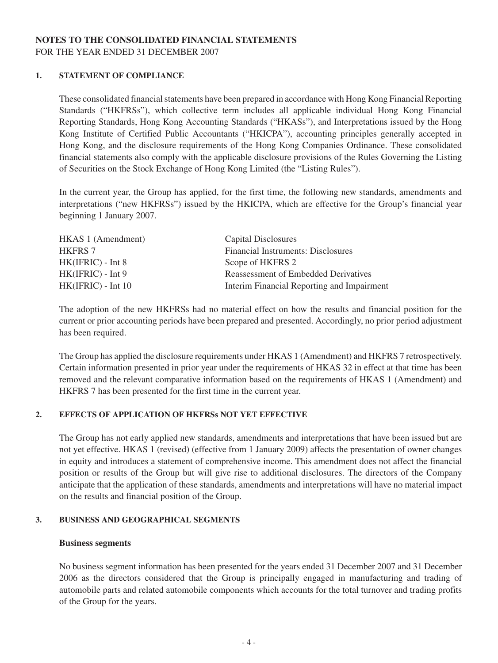### **NOTES TO THE CONSOLIDATED FINANCIAL STATEMENTS**

FOR THE YEAR ENDED 31 DECEMBER 2007

### **1. STATEMENT OF COMPLIANCE**

These consolidated financial statements have been prepared in accordance with Hong Kong Financial Reporting Standards ("HKFRSs"), which collective term includes all applicable individual Hong Kong Financial Reporting Standards, Hong Kong Accounting Standards ("HKASs"), and Interpretations issued by the Hong Kong Institute of Certified Public Accountants ("HKICPA"), accounting principles generally accepted in Hong Kong, and the disclosure requirements of the Hong Kong Companies Ordinance. These consolidated financial statements also comply with the applicable disclosure provisions of the Rules Governing the Listing of Securities on the Stock Exchange of Hong Kong Limited (the "Listing Rules").

In the current year, the Group has applied, for the first time, the following new standards, amendments and interpretations ("new HKFRSs") issued by the HKICPA, which are effective for the Group's financial year beginning 1 January 2007.

| HKAS 1 (Amendment)   | Capital Disclosures                        |
|----------------------|--------------------------------------------|
| <b>HKFRS 7</b>       | Financial Instruments: Disclosures         |
| $HK(IFRIC) - Int 8$  | Scope of HKFRS 2                           |
| $HK(IFRIC) - Int 9$  | Reassessment of Embedded Derivatives       |
| $HK(IFRIC) - Int 10$ | Interim Financial Reporting and Impairment |

The adoption of the new HKFRSs had no material effect on how the results and financial position for the current or prior accounting periods have been prepared and presented. Accordingly, no prior period adjustment has been required.

The Group has applied the disclosure requirements under HKAS 1 (Amendment) and HKFRS 7 retrospectively. Certain information presented in prior year under the requirements of HKAS 32 in effect at that time has been removed and the relevant comparative information based on the requirements of HKAS 1 (Amendment) and HKFRS 7 has been presented for the first time in the current year.

### **2. EFFECTS OF APPLICATION OF HKFRSs NOT YET EFFECTIVE**

The Group has not early applied new standards, amendments and interpretations that have been issued but are not yet effective. HKAS 1 (revised) (effective from 1 January 2009) affects the presentation of owner changes in equity and introduces a statement of comprehensive income. This amendment does not affect the financial position or results of the Group but will give rise to additional disclosures. The directors of the Company anticipate that the application of these standards, amendments and interpretations will have no material impact on the results and financial position of the Group.

### **3. BUSINESS AND GEOGRAPHICAL SEGMENTS**

### **Business segments**

No business segment information has been presented for the years ended 31 December 2007 and 31 December 2006 as the directors considered that the Group is principally engaged in manufacturing and trading of automobile parts and related automobile components which accounts for the total turnover and trading profits of the Group for the years.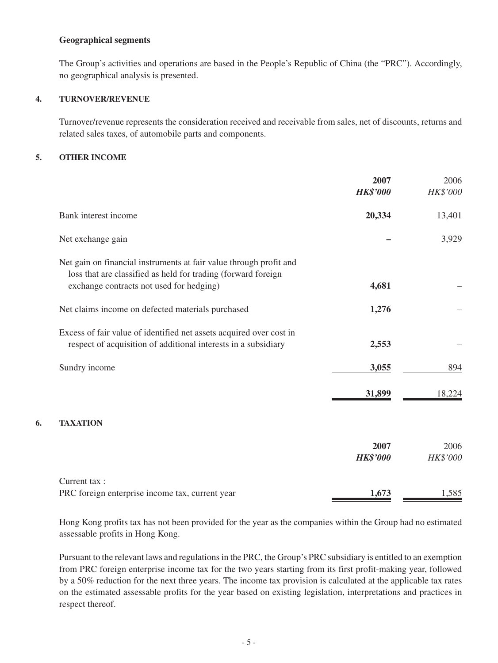### **Geographical segments**

The Group's activities and operations are based in the People's Republic of China (the "PRC"). Accordingly, no geographical analysis is presented.

### **4. TURNOVER/REVENUE**

Turnover/revenue represents the consideration received and receivable from sales, net of discounts, returns and related sales taxes, of automobile parts and components.

#### **5. OTHER INCOME**

|    |                                                                                                                                       | 2007<br><b>HK\$'000</b> | 2006<br>HK\$'000 |
|----|---------------------------------------------------------------------------------------------------------------------------------------|-------------------------|------------------|
|    | Bank interest income                                                                                                                  | 20,334                  | 13,401           |
|    | Net exchange gain                                                                                                                     |                         | 3,929            |
|    | Net gain on financial instruments at fair value through profit and<br>loss that are classified as held for trading (forward foreign   |                         |                  |
|    | exchange contracts not used for hedging)                                                                                              | 4,681                   |                  |
|    | Net claims income on defected materials purchased                                                                                     | 1,276                   |                  |
|    | Excess of fair value of identified net assets acquired over cost in<br>respect of acquisition of additional interests in a subsidiary | 2,553                   |                  |
|    | Sundry income                                                                                                                         | 3,055                   | 894              |
|    |                                                                                                                                       | 31,899                  | 18,224           |
| 6. | <b>TAXATION</b>                                                                                                                       |                         |                  |
|    |                                                                                                                                       | 2007                    | 2006             |
|    |                                                                                                                                       | <b>HK\$'000</b>         | HK\$'000         |
|    | Current tax:                                                                                                                          |                         |                  |
|    | PRC foreign enterprise income tax, current year                                                                                       | 1,673                   | 1,585            |

Hong Kong profits tax has not been provided for the year as the companies within the Group had no estimated assessable profits in Hong Kong.

Pursuant to the relevant laws and regulations in the PRC, the Group's PRC subsidiary is entitled to an exemption from PRC foreign enterprise income tax for the two years starting from its first profit-making year, followed by a 50% reduction for the next three years. The income tax provision is calculated at the applicable tax rates on the estimated assessable profits for the year based on existing legislation, interpretations and practices in respect thereof.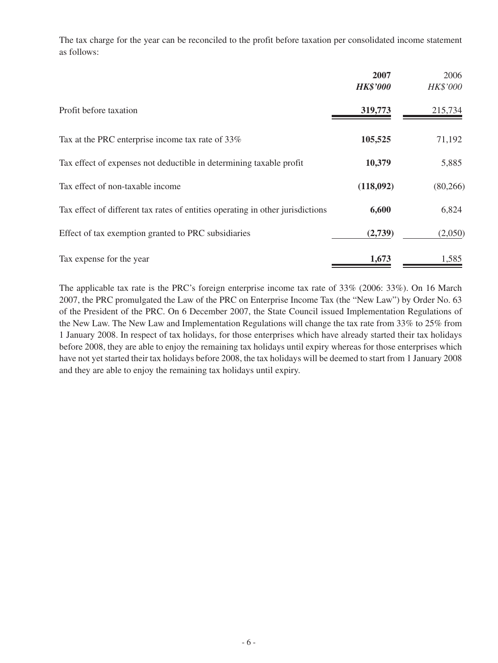The tax charge for the year can be reconciled to the profit before taxation per consolidated income statement as follows:

|                                                                                | 2007<br><b>HK\$'000</b> | 2006<br>HK\$'000 |
|--------------------------------------------------------------------------------|-------------------------|------------------|
| Profit before taxation                                                         | 319,773                 | 215,734          |
| Tax at the PRC enterprise income tax rate of 33%                               | 105,525                 | 71,192           |
| Tax effect of expenses not deductible in determining taxable profit            | 10,379                  | 5,885            |
| Tax effect of non-taxable income                                               | (118,092)               | (80, 266)        |
| Tax effect of different tax rates of entities operating in other jurisdictions | 6,600                   | 6,824            |
| Effect of tax exemption granted to PRC subsidiaries                            | (2,739)                 | (2,050)          |
| Tax expense for the year                                                       | 1,673                   | 1,585            |

The applicable tax rate is the PRC's foreign enterprise income tax rate of 33% (2006: 33%). On 16 March 2007, the PRC promulgated the Law of the PRC on Enterprise Income Tax (the "New Law") by Order No. 63 of the President of the PRC. On 6 December 2007, the State Council issued Implementation Regulations of the New Law. The New Law and Implementation Regulations will change the tax rate from 33% to 25% from 1 January 2008. In respect of tax holidays, for those enterprises which have already started their tax holidays before 2008, they are able to enjoy the remaining tax holidays until expiry whereas for those enterprises which have not yet started their tax holidays before 2008, the tax holidays will be deemed to start from 1 January 2008 and they are able to enjoy the remaining tax holidays until expiry.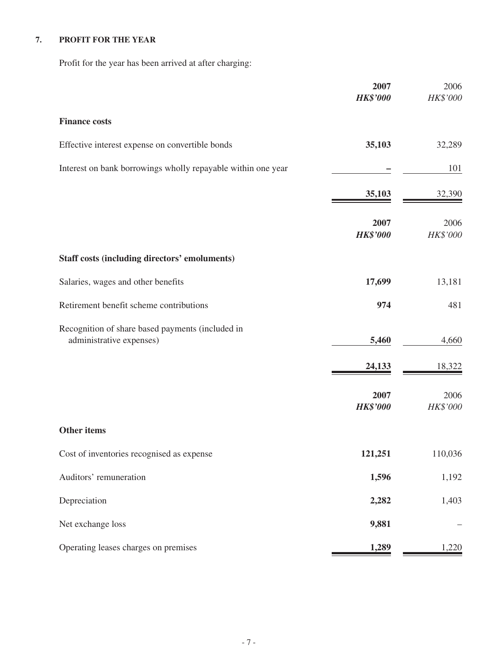# **7. PROFIT FOR THE YEAR**

Profit for the year has been arrived at after charging:

|                                                                              | 2007<br><b>HK\$'000</b> | 2006<br>HK\$'000 |
|------------------------------------------------------------------------------|-------------------------|------------------|
| <b>Finance costs</b>                                                         |                         |                  |
| Effective interest expense on convertible bonds                              | 35,103                  | 32,289           |
| Interest on bank borrowings wholly repayable within one year                 |                         | 101              |
|                                                                              | 35,103                  | 32,390           |
|                                                                              | 2007<br><b>HK\$'000</b> | 2006<br>HK\$'000 |
| <b>Staff costs (including directors' emoluments)</b>                         |                         |                  |
| Salaries, wages and other benefits                                           | 17,699                  | 13,181           |
| Retirement benefit scheme contributions                                      | 974                     | 481              |
| Recognition of share based payments (included in<br>administrative expenses) | 5,460                   | 4,660            |
|                                                                              | 24,133                  | 18,322           |
|                                                                              | 2007<br><b>HK\$'000</b> | 2006<br>HK\$'000 |
| Other items                                                                  |                         |                  |
| Cost of inventories recognised as expense                                    | 121,251                 | 110,036          |
| Auditors' remuneration                                                       | 1,596                   | 1,192            |
| Depreciation                                                                 | 2,282                   | 1,403            |
| Net exchange loss                                                            | 9,881                   |                  |
| Operating leases charges on premises                                         | 1,289                   | 1,220            |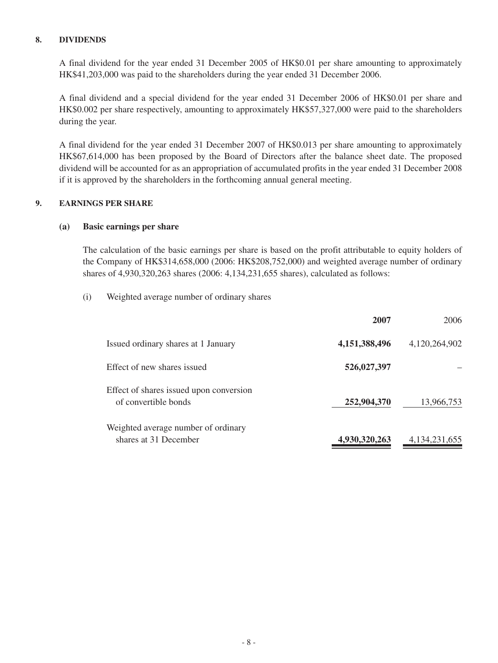#### **8. DIVIDENDS**

A final dividend for the year ended 31 December 2005 of HK\$0.01 per share amounting to approximately HK\$41,203,000 was paid to the shareholders during the year ended 31 December 2006.

A final dividend and a special dividend for the year ended 31 December 2006 of HK\$0.01 per share and HK\$0.002 per share respectively, amounting to approximately HK\$57,327,000 were paid to the shareholders during the year.

A final dividend for the year ended 31 December 2007 of HK\$0.013 per share amounting to approximately HK\$67,614,000 has been proposed by the Board of Directors after the balance sheet date. The proposed dividend will be accounted for as an appropriation of accumulated profits in the year ended 31 December 2008 if it is approved by the shareholders in the forthcoming annual general meeting.

### **9. EARNINGS PER SHARE**

#### **(a) Basic earnings per share**

The calculation of the basic earnings per share is based on the profit attributable to equity holders of the Company of HK\$314,658,000 (2006: HK\$208,752,000) and weighted average number of ordinary shares of 4,930,320,263 shares (2006: 4,134,231,655 shares), calculated as follows:

(i) Weighted average number of ordinary shares

|                                                                 | 2007          | 2006             |
|-----------------------------------------------------------------|---------------|------------------|
| Issued ordinary shares at 1 January                             | 4,151,388,496 | 4,120,264,902    |
| Effect of new shares issued                                     | 526,027,397   |                  |
| Effect of shares issued upon conversion<br>of convertible bonds | 252,904,370   | 13,966,753       |
| Weighted average number of ordinary<br>shares at 31 December    | 4,930,320,263 | 4, 134, 231, 655 |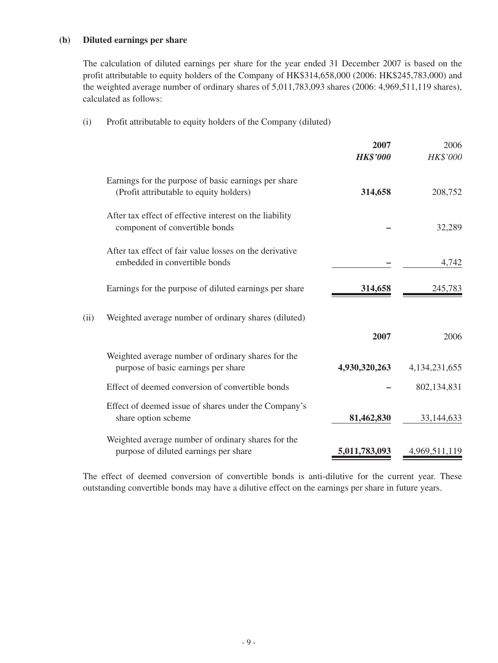#### **(b) Diluted earnings per share**

The calculation of diluted earnings per share for the year ended 31 December 2007 is based on the profit attributable to equity holders of the Company of HK\$314,658,000 (2006: HK\$245,783,000) and the weighted average number of ordinary shares of 5,011,783,093 shares (2006: 4,969,511,119 shares), calculated as follows:

| (i) | Profit attributable to equity holders of the Company (diluted) |  |  |
|-----|----------------------------------------------------------------|--|--|
|-----|----------------------------------------------------------------|--|--|

|      |                                                                                                 | 2007<br><b>HK\$'000</b> | 2006<br>HK\$'000 |
|------|-------------------------------------------------------------------------------------------------|-------------------------|------------------|
|      | Earnings for the purpose of basic earnings per share<br>(Profit attributable to equity holders) | 314,658                 | 208,752          |
|      | After tax effect of effective interest on the liability<br>component of convertible bonds       |                         | 32,289           |
|      | After tax effect of fair value losses on the derivative<br>embedded in convertible bonds        |                         | 4,742            |
|      | Earnings for the purpose of diluted earnings per share                                          | 314,658                 | 245,783          |
| (ii) | Weighted average number of ordinary shares (diluted)                                            |                         |                  |
|      |                                                                                                 | 2007                    | 2006             |
|      | Weighted average number of ordinary shares for the<br>purpose of basic earnings per share       | 4,930,320,263           | 4, 134, 231, 655 |
|      | Effect of deemed conversion of convertible bonds                                                |                         | 802,134,831      |
|      | Effect of deemed issue of shares under the Company's<br>share option scheme                     | 81,462,830              | 33,144,633       |
|      | Weighted average number of ordinary shares for the<br>purpose of diluted earnings per share     | 5,011,783,093           | 4,969,511,119    |

The effect of deemed conversion of convertible bonds is anti-dilutive for the current year. These outstanding convertible bonds may have a dilutive effect on the earnings per share in future years.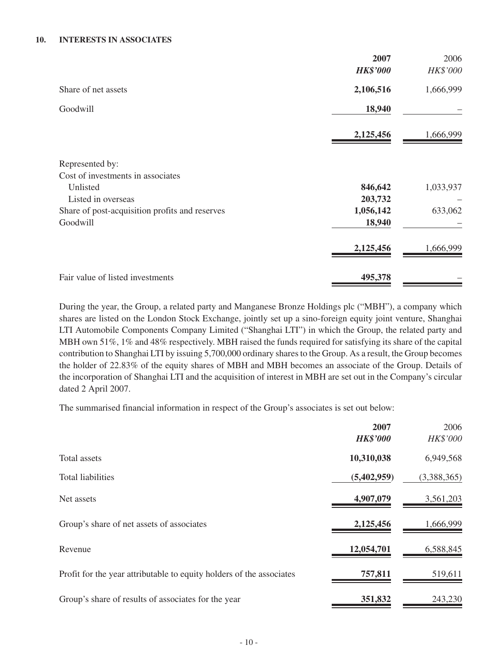|                                                | 2007            | 2006      |
|------------------------------------------------|-----------------|-----------|
|                                                | <b>HK\$'000</b> | HK\$'000  |
| Share of net assets                            | 2,106,516       | 1,666,999 |
| Goodwill                                       | 18,940          |           |
|                                                | 2,125,456       | 1,666,999 |
| Represented by:                                |                 |           |
| Cost of investments in associates              |                 |           |
| Unlisted                                       | 846,642         | 1,033,937 |
| Listed in overseas                             | 203,732         |           |
| Share of post-acquisition profits and reserves | 1,056,142       | 633,062   |
| Goodwill                                       | 18,940          |           |
|                                                | 2,125,456       | 1,666,999 |
| Fair value of listed investments               | 495,378         |           |

During the year, the Group, a related party and Manganese Bronze Holdings plc ("MBH"), a company which shares are listed on the London Stock Exchange, jointly set up a sino-foreign equity joint venture, Shanghai LTI Automobile Components Company Limited ("Shanghai LTI") in which the Group, the related party and MBH own 51%, 1% and 48% respectively. MBH raised the funds required for satisfying its share of the capital contribution to Shanghai LTI by issuing 5,700,000 ordinary shares to the Group. As a result, the Group becomes the holder of 22.83% of the equity shares of MBH and MBH becomes an associate of the Group. Details of the incorporation of Shanghai LTI and the acquisition of interest in MBH are set out in the Company's circular dated 2 April 2007.

The summarised financial information in respect of the Group's associates is set out below:

|                                                                      | 2007<br><b>HK\$'000</b> | 2006<br>HK\$'000 |
|----------------------------------------------------------------------|-------------------------|------------------|
| Total assets                                                         | 10,310,038              | 6,949,568        |
| <b>Total liabilities</b>                                             | (5,402,959)             | (3,388,365)      |
| Net assets                                                           | 4,907,079               | 3,561,203        |
| Group's share of net assets of associates                            | 2,125,456               | 1,666,999        |
| Revenue                                                              | 12,054,701              | 6,588,845        |
| Profit for the year attributable to equity holders of the associates | 757,811                 | 519,611          |
| Group's share of results of associates for the year                  | 351,832                 | 243,230          |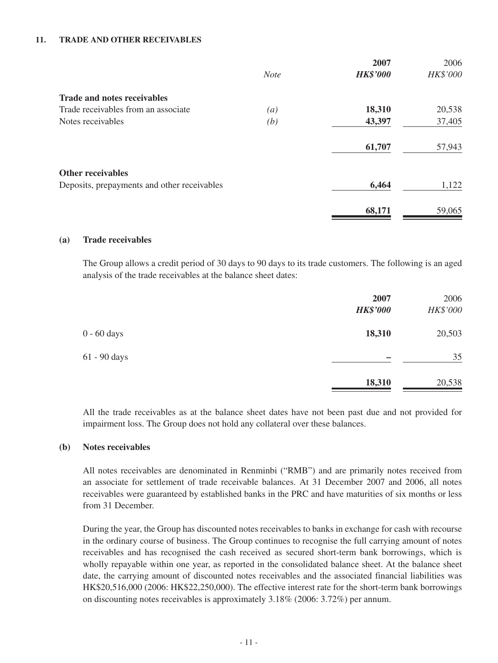#### **11. TRADE AND OTHER RECEIVABLES**

|                                             |             | 2007            | 2006     |
|---------------------------------------------|-------------|-----------------|----------|
|                                             | <b>Note</b> | <b>HK\$'000</b> | HK\$'000 |
| <b>Trade and notes receivables</b>          |             |                 |          |
| Trade receivables from an associate         | (a)         | 18,310          | 20,538   |
| Notes receivables                           | (b)         | 43,397          | 37,405   |
|                                             |             | 61,707          | 57,943   |
| <b>Other receivables</b>                    |             |                 |          |
| Deposits, prepayments and other receivables |             | 6,464           | 1,122    |
|                                             |             | 68,171          | 59,065   |
|                                             |             |                 |          |

#### **(a) Trade receivables**

The Group allows a credit period of 30 days to 90 days to its trade customers. The following is an aged analysis of the trade receivables at the balance sheet dates:

|               | 2007<br><b>HK\$'000</b> | 2006<br>HK\$'000 |
|---------------|-------------------------|------------------|
| $0 - 60$ days | 18,310                  | 20,503           |
| 61 - 90 days  |                         | 35               |
|               | 18,310                  | 20,538           |

All the trade receivables as at the balance sheet dates have not been past due and not provided for impairment loss. The Group does not hold any collateral over these balances.

#### **(b) Notes receivables**

All notes receivables are denominated in Renminbi ("RMB") and are primarily notes received from an associate for settlement of trade receivable balances. At 31 December 2007 and 2006, all notes receivables were guaranteed by established banks in the PRC and have maturities of six months or less from 31 December.

During the year, the Group has discounted notes receivables to banks in exchange for cash with recourse in the ordinary course of business. The Group continues to recognise the full carrying amount of notes receivables and has recognised the cash received as secured short-term bank borrowings, which is wholly repayable within one year, as reported in the consolidated balance sheet. At the balance sheet date, the carrying amount of discounted notes receivables and the associated financial liabilities was HK\$20,516,000 (2006: HK\$22,250,000). The effective interest rate for the short-term bank borrowings on discounting notes receivables is approximately 3.18% (2006: 3.72%) per annum.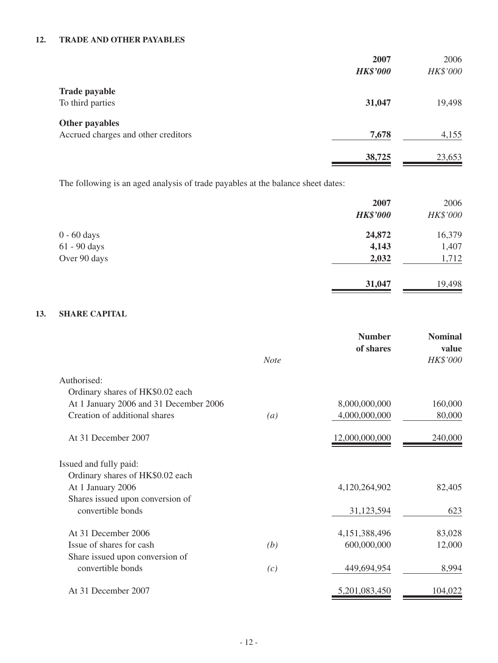### **12. TRADE AND OTHER PAYABLES**

|                                     | 2007            | 2006     |
|-------------------------------------|-----------------|----------|
|                                     | <b>HK\$'000</b> | HK\$'000 |
| <b>Trade payable</b>                |                 |          |
| To third parties                    | 31,047          | 19,498   |
| Other payables                      |                 |          |
| Accrued charges and other creditors | 7,678           | 4,155    |
|                                     | 38,725          | 23,653   |
|                                     |                 |          |

The following is an aged analysis of trade payables at the balance sheet dates:

|               | 2007            | 2006     |
|---------------|-----------------|----------|
|               | <b>HK\$'000</b> | HK\$'000 |
| $0 - 60$ days | 24,872          | 16,379   |
| 61 - 90 days  | 4,143           | 1,407    |
| Over 90 days  | 2,032           | 1,712    |
|               | 31,047          | 19,498   |

#### **13. SHARE CAPITAL**

|                                                                            | <b>Note</b>      | <b>Number</b><br>of shares | <b>Nominal</b><br>value<br>HK\$'000 |
|----------------------------------------------------------------------------|------------------|----------------------------|-------------------------------------|
|                                                                            |                  |                            |                                     |
| Authorised:                                                                |                  |                            |                                     |
| Ordinary shares of HK\$0.02 each<br>At 1 January 2006 and 31 December 2006 |                  | 8,000,000,000              | 160,000                             |
| Creation of additional shares                                              |                  | 4,000,000,000              | 80,000                              |
|                                                                            | $\left(a\right)$ |                            |                                     |
| At 31 December 2007                                                        |                  | 12,000,000,000             | 240,000                             |
| Issued and fully paid:                                                     |                  |                            |                                     |
| Ordinary shares of HK\$0.02 each                                           |                  |                            |                                     |
| At 1 January 2006                                                          |                  | 4,120,264,902              | 82,405                              |
| Shares issued upon conversion of                                           |                  |                            |                                     |
| convertible bonds                                                          |                  | 31,123,594                 | 623                                 |
| At 31 December 2006                                                        |                  | 4,151,388,496              | 83,028                              |
| Issue of shares for cash                                                   | (b)              | 600,000,000                | 12,000                              |
| Share issued upon conversion of                                            |                  |                            |                                     |
| convertible bonds                                                          | (c)              | 449,694,954                | 8,994                               |
| At 31 December 2007                                                        |                  | 5,201,083,450              | 104,022                             |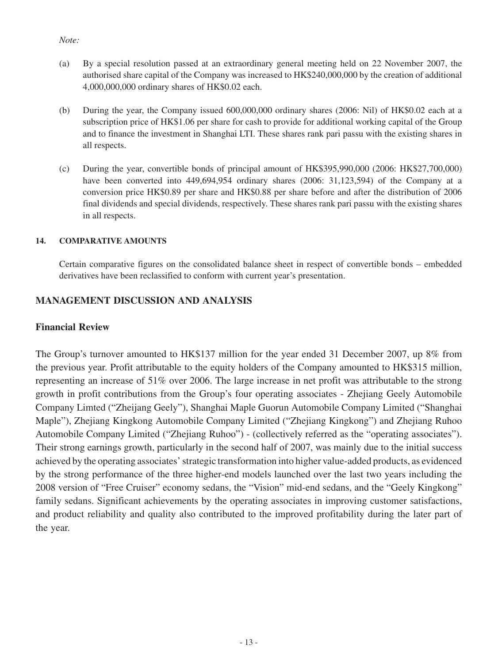*Note:*

- (a) By a special resolution passed at an extraordinary general meeting held on 22 November 2007, the authorised share capital of the Company was increased to HK\$240,000,000 by the creation of additional 4,000,000,000 ordinary shares of HK\$0.02 each.
- (b) During the year, the Company issued 600,000,000 ordinary shares (2006: Nil) of HK\$0.02 each at a subscription price of HK\$1.06 per share for cash to provide for additional working capital of the Group and to finance the investment in Shanghai LTI. These shares rank pari passu with the existing shares in all respects.
- (c) During the year, convertible bonds of principal amount of HK\$395,990,000 (2006: HK\$27,700,000) have been converted into 449,694,954 ordinary shares (2006: 31,123,594) of the Company at a conversion price HK\$0.89 per share and HK\$0.88 per share before and after the distribution of 2006 final dividends and special dividends, respectively. These shares rank pari passu with the existing shares in all respects.

### **14. COMPARATIVE AMOUNTS**

Certain comparative figures on the consolidated balance sheet in respect of convertible bonds – embedded derivatives have been reclassified to conform with current year's presentation.

## **MANAGEMENT DISCUSSION AND ANALYSIS**

### **Financial Review**

The Group's turnover amounted to HK\$137 million for the year ended 31 December 2007, up 8% from the previous year. Profit attributable to the equity holders of the Company amounted to HK\$315 million, representing an increase of 51% over 2006. The large increase in net profit was attributable to the strong growth in profit contributions from the Group's four operating associates - Zhejiang Geely Automobile Company Limted ("Zheijang Geely"), Shanghai Maple Guorun Automobile Company Limited ("Shanghai Maple"), Zhejiang Kingkong Automobile Company Limited ("Zhejiang Kingkong") and Zhejiang Ruhoo Automobile Company Limited ("Zhejiang Ruhoo") - (collectively referred as the "operating associates"). Their strong earnings growth, particularly in the second half of 2007, was mainly due to the initial success achieved by the operating associates' strategic transformation into higher value-added products, as evidenced by the strong performance of the three higher-end models launched over the last two years including the 2008 version of "Free Cruiser" economy sedans, the "Vision" mid-end sedans, and the "Geely Kingkong" family sedans. Significant achievements by the operating associates in improving customer satisfactions, and product reliability and quality also contributed to the improved profitability during the later part of the year.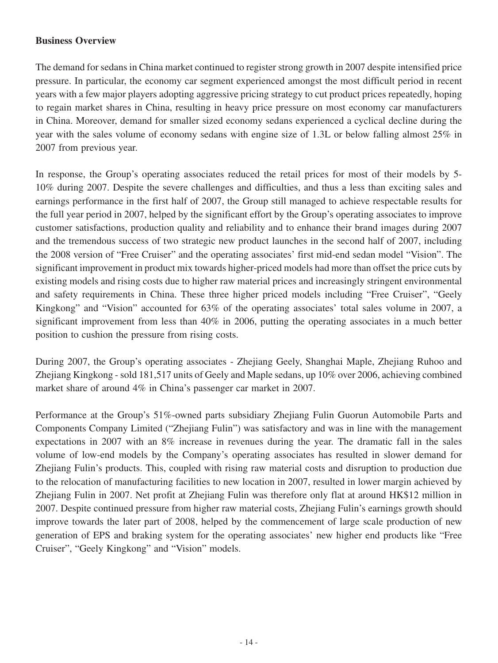## **Business Overview**

The demand for sedans in China market continued to register strong growth in 2007 despite intensified price pressure. In particular, the economy car segment experienced amongst the most difficult period in recent years with a few major players adopting aggressive pricing strategy to cut product prices repeatedly, hoping to regain market shares in China, resulting in heavy price pressure on most economy car manufacturers in China. Moreover, demand for smaller sized economy sedans experienced a cyclical decline during the year with the sales volume of economy sedans with engine size of 1.3L or below falling almost 25% in 2007 from previous year.

In response, the Group's operating associates reduced the retail prices for most of their models by 5- 10% during 2007. Despite the severe challenges and difficulties, and thus a less than exciting sales and earnings performance in the first half of 2007, the Group still managed to achieve respectable results for the full year period in 2007, helped by the significant effort by the Group's operating associates to improve customer satisfactions, production quality and reliability and to enhance their brand images during 2007 and the tremendous success of two strategic new product launches in the second half of 2007, including the 2008 version of "Free Cruiser" and the operating associates' first mid-end sedan model "Vision". The significant improvement in product mix towards higher-priced models had more than offset the price cuts by existing models and rising costs due to higher raw material prices and increasingly stringent environmental and safety requirements in China. These three higher priced models including "Free Cruiser", "Geely Kingkong" and "Vision" accounted for 63% of the operating associates' total sales volume in 2007, a significant improvement from less than 40% in 2006, putting the operating associates in a much better position to cushion the pressure from rising costs.

During 2007, the Group's operating associates - Zhejiang Geely, Shanghai Maple, Zhejiang Ruhoo and Zhejiang Kingkong - sold 181,517 units of Geely and Maple sedans, up 10% over 2006, achieving combined market share of around 4% in China's passenger car market in 2007.

Performance at the Group's 51%-owned parts subsidiary Zhejiang Fulin Guorun Automobile Parts and Components Company Limited ("Zhejiang Fulin") was satisfactory and was in line with the management expectations in 2007 with an 8% increase in revenues during the year. The dramatic fall in the sales volume of low-end models by the Company's operating associates has resulted in slower demand for Zhejiang Fulin's products. This, coupled with rising raw material costs and disruption to production due to the relocation of manufacturing facilities to new location in 2007, resulted in lower margin achieved by Zhejiang Fulin in 2007. Net profit at Zhejiang Fulin was therefore only flat at around HK\$12 million in 2007. Despite continued pressure from higher raw material costs, Zhejiang Fulin's earnings growth should improve towards the later part of 2008, helped by the commencement of large scale production of new generation of EPS and braking system for the operating associates' new higher end products like "Free Cruiser", "Geely Kingkong" and "Vision" models.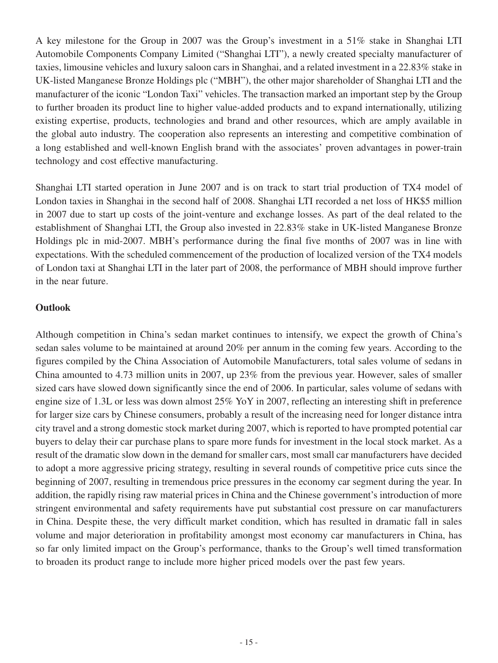A key milestone for the Group in 2007 was the Group's investment in a 51% stake in Shanghai LTI Automobile Components Company Limited ("Shanghai LTI"), a newly created specialty manufacturer of taxies, limousine vehicles and luxury saloon cars in Shanghai, and a related investment in a 22.83% stake in UK-listed Manganese Bronze Holdings plc ("MBH"), the other major shareholder of Shanghai LTI and the manufacturer of the iconic "London Taxi" vehicles. The transaction marked an important step by the Group to further broaden its product line to higher value-added products and to expand internationally, utilizing existing expertise, products, technologies and brand and other resources, which are amply available in the global auto industry. The cooperation also represents an interesting and competitive combination of a long established and well-known English brand with the associates' proven advantages in power-train technology and cost effective manufacturing.

Shanghai LTI started operation in June 2007 and is on track to start trial production of TX4 model of London taxies in Shanghai in the second half of 2008. Shanghai LTI recorded a net loss of HK\$5 million in 2007 due to start up costs of the joint-venture and exchange losses. As part of the deal related to the establishment of Shanghai LTI, the Group also invested in 22.83% stake in UK-listed Manganese Bronze Holdings plc in mid-2007. MBH's performance during the final five months of 2007 was in line with expectations. With the scheduled commencement of the production of localized version of the TX4 models of London taxi at Shanghai LTI in the later part of 2008, the performance of MBH should improve further in the near future.

## **Outlook**

Although competition in China's sedan market continues to intensify, we expect the growth of China's sedan sales volume to be maintained at around 20% per annum in the coming few years. According to the figures compiled by the China Association of Automobile Manufacturers, total sales volume of sedans in China amounted to 4.73 million units in 2007, up 23% from the previous year. However, sales of smaller sized cars have slowed down significantly since the end of 2006. In particular, sales volume of sedans with engine size of 1.3L or less was down almost 25% YoY in 2007, reflecting an interesting shift in preference for larger size cars by Chinese consumers, probably a result of the increasing need for longer distance intra city travel and a strong domestic stock market during 2007, which is reported to have prompted potential car buyers to delay their car purchase plans to spare more funds for investment in the local stock market. As a result of the dramatic slow down in the demand for smaller cars, most small car manufacturers have decided to adopt a more aggressive pricing strategy, resulting in several rounds of competitive price cuts since the beginning of 2007, resulting in tremendous price pressures in the economy car segment during the year. In addition, the rapidly rising raw material prices in China and the Chinese government's introduction of more stringent environmental and safety requirements have put substantial cost pressure on car manufacturers in China. Despite these, the very difficult market condition, which has resulted in dramatic fall in sales volume and major deterioration in profitability amongst most economy car manufacturers in China, has so far only limited impact on the Group's performance, thanks to the Group's well timed transformation to broaden its product range to include more higher priced models over the past few years.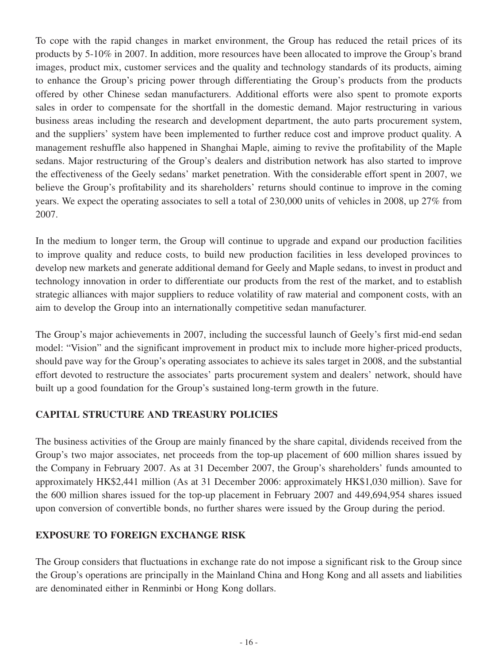To cope with the rapid changes in market environment, the Group has reduced the retail prices of its products by 5-10% in 2007. In addition, more resources have been allocated to improve the Group's brand images, product mix, customer services and the quality and technology standards of its products, aiming to enhance the Group's pricing power through differentiating the Group's products from the products offered by other Chinese sedan manufacturers. Additional efforts were also spent to promote exports sales in order to compensate for the shortfall in the domestic demand. Major restructuring in various business areas including the research and development department, the auto parts procurement system, and the suppliers' system have been implemented to further reduce cost and improve product quality. A management reshuffle also happened in Shanghai Maple, aiming to revive the profitability of the Maple sedans. Major restructuring of the Group's dealers and distribution network has also started to improve the effectiveness of the Geely sedans' market penetration. With the considerable effort spent in 2007, we believe the Group's profitability and its shareholders' returns should continue to improve in the coming years. We expect the operating associates to sell a total of 230,000 units of vehicles in 2008, up 27% from 2007.

In the medium to longer term, the Group will continue to upgrade and expand our production facilities to improve quality and reduce costs, to build new production facilities in less developed provinces to develop new markets and generate additional demand for Geely and Maple sedans, to invest in product and technology innovation in order to differentiate our products from the rest of the market, and to establish strategic alliances with major suppliers to reduce volatility of raw material and component costs, with an aim to develop the Group into an internationally competitive sedan manufacturer.

The Group's major achievements in 2007, including the successful launch of Geely's first mid-end sedan model: "Vision" and the significant improvement in product mix to include more higher-priced products, should pave way for the Group's operating associates to achieve its sales target in 2008, and the substantial effort devoted to restructure the associates' parts procurement system and dealers' network, should have built up a good foundation for the Group's sustained long-term growth in the future.

# **CAPITAL STRUCTURE AND TREASURY POLICIES**

The business activities of the Group are mainly financed by the share capital, dividends received from the Group's two major associates, net proceeds from the top-up placement of 600 million shares issued by the Company in February 2007. As at 31 December 2007, the Group's shareholders' funds amounted to approximately HK\$2,441 million (As at 31 December 2006: approximately HK\$1,030 million). Save for the 600 million shares issued for the top-up placement in February 2007 and 449,694,954 shares issued upon conversion of convertible bonds, no further shares were issued by the Group during the period.

## **EXPOSURE TO FOREIGN EXCHANGE RISK**

The Group considers that fluctuations in exchange rate do not impose a significant risk to the Group since the Group's operations are principally in the Mainland China and Hong Kong and all assets and liabilities are denominated either in Renminbi or Hong Kong dollars.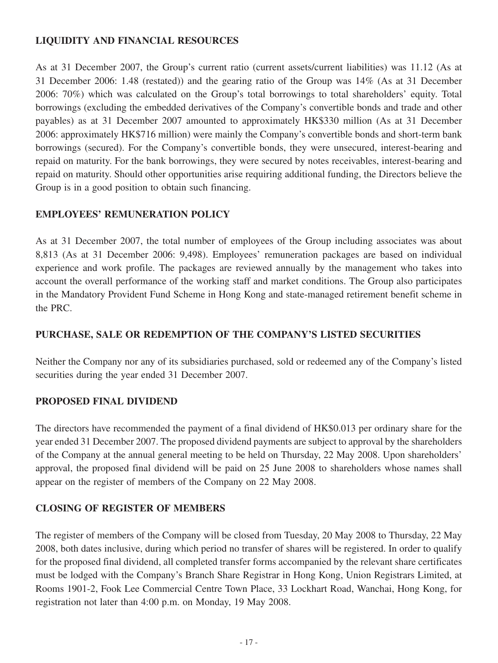## **LIQUIDITY AND FINANCIAL RESOURCES**

As at 31 December 2007, the Group's current ratio (current assets/current liabilities) was 11.12 (As at 31 December 2006: 1.48 (restated)) and the gearing ratio of the Group was 14% (As at 31 December 2006: 70%) which was calculated on the Group's total borrowings to total shareholders' equity. Total borrowings (excluding the embedded derivatives of the Company's convertible bonds and trade and other payables) as at 31 December 2007 amounted to approximately HK\$330 million (As at 31 December 2006: approximately HK\$716 million) were mainly the Company's convertible bonds and short-term bank borrowings (secured). For the Company's convertible bonds, they were unsecured, interest-bearing and repaid on maturity. For the bank borrowings, they were secured by notes receivables, interest-bearing and repaid on maturity. Should other opportunities arise requiring additional funding, the Directors believe the Group is in a good position to obtain such financing.

## **EMPLOYEES' REMUNERATION POLICY**

As at 31 December 2007, the total number of employees of the Group including associates was about 8,813 (As at 31 December 2006: 9,498). Employees' remuneration packages are based on individual experience and work profile. The packages are reviewed annually by the management who takes into account the overall performance of the working staff and market conditions. The Group also participates in the Mandatory Provident Fund Scheme in Hong Kong and state-managed retirement benefit scheme in the PRC.

## **PURCHASE, SALE OR REDEMPTION OF THE COMPANY'S LISTED SECURITIES**

Neither the Company nor any of its subsidiaries purchased, sold or redeemed any of the Company's listed securities during the year ended 31 December 2007.

## **PROPOSED FINAL DIVIDEND**

The directors have recommended the payment of a final dividend of HK\$0.013 per ordinary share for the year ended 31 December 2007. The proposed dividend payments are subject to approval by the shareholders of the Company at the annual general meeting to be held on Thursday, 22 May 2008. Upon shareholders' approval, the proposed final dividend will be paid on 25 June 2008 to shareholders whose names shall appear on the register of members of the Company on 22 May 2008.

## **CLOSING OF REGISTER OF MEMBERS**

The register of members of the Company will be closed from Tuesday, 20 May 2008 to Thursday, 22 May 2008, both dates inclusive, during which period no transfer of shares will be registered. In order to qualify for the proposed final dividend, all completed transfer forms accompanied by the relevant share certificates must be lodged with the Company's Branch Share Registrar in Hong Kong, Union Registrars Limited, at Rooms 1901-2, Fook Lee Commercial Centre Town Place, 33 Lockhart Road, Wanchai, Hong Kong, for registration not later than 4:00 p.m. on Monday, 19 May 2008.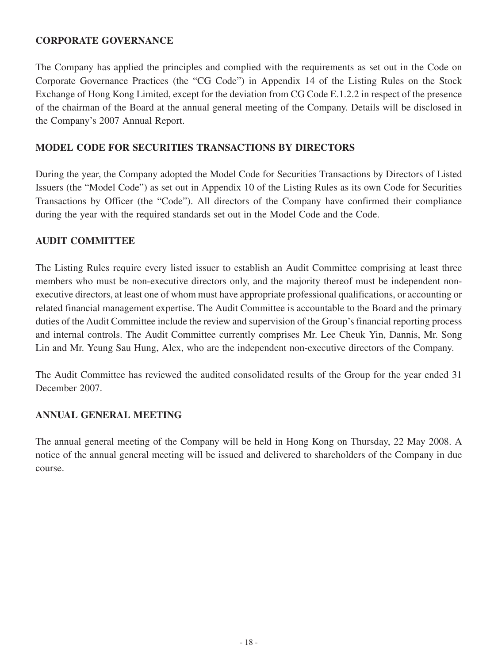## **CORPORATE GOVERNANCE**

The Company has applied the principles and complied with the requirements as set out in the Code on Corporate Governance Practices (the "CG Code") in Appendix 14 of the Listing Rules on the Stock Exchange of Hong Kong Limited, except for the deviation from CG Code E.1.2.2 in respect of the presence of the chairman of the Board at the annual general meeting of the Company. Details will be disclosed in the Company's 2007 Annual Report.

## **MODEL CODE FOR SECURITIES TRANSACTIONS BY DIRECTORS**

During the year, the Company adopted the Model Code for Securities Transactions by Directors of Listed Issuers (the "Model Code") as set out in Appendix 10 of the Listing Rules as its own Code for Securities Transactions by Officer (the "Code"). All directors of the Company have confirmed their compliance during the year with the required standards set out in the Model Code and the Code.

## **AUDIT COMMITTEE**

The Listing Rules require every listed issuer to establish an Audit Committee comprising at least three members who must be non-executive directors only, and the majority thereof must be independent nonexecutive directors, at least one of whom must have appropriate professional qualifications, or accounting or related financial management expertise. The Audit Committee is accountable to the Board and the primary duties of the Audit Committee include the review and supervision of the Group's financial reporting process and internal controls. The Audit Committee currently comprises Mr. Lee Cheuk Yin, Dannis, Mr. Song Lin and Mr. Yeung Sau Hung, Alex, who are the independent non-executive directors of the Company.

The Audit Committee has reviewed the audited consolidated results of the Group for the year ended 31 December 2007.

## **ANNUAL GENERAL MEETING**

The annual general meeting of the Company will be held in Hong Kong on Thursday, 22 May 2008. A notice of the annual general meeting will be issued and delivered to shareholders of the Company in due course.